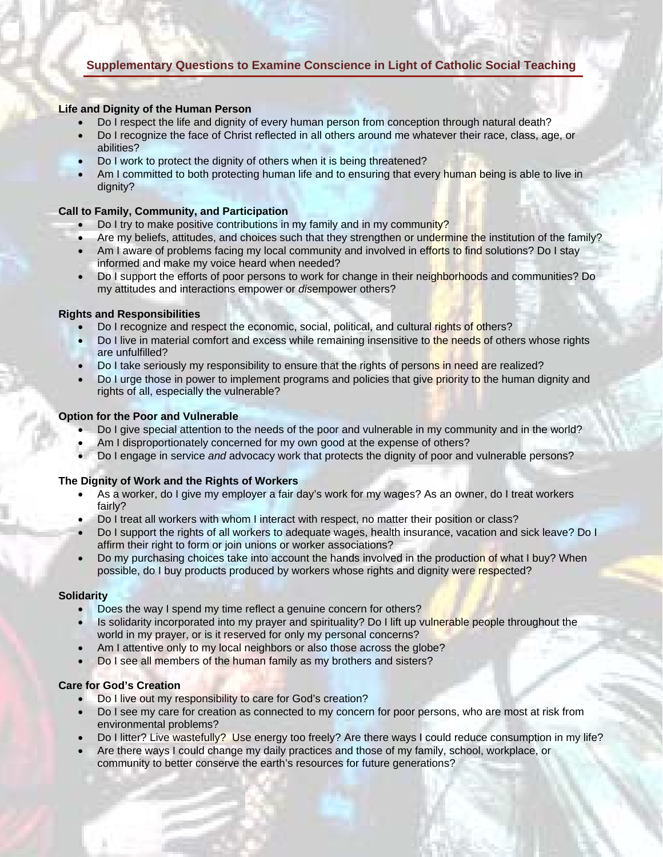# **Supplementary Questions to Examine Conscience in Light of Catholic Social Teaching**

## **Life and Dignity of the Human Person**

- Do I respect the life and dignity of every human person from conception through natural death?
- Do I recognize the face of Christ reflected in all others around me whatever their race, class, age, or abilities?
- Do I work to protect the dignity of others when it is being threatened?
- Am I committed to both protecting human life and to ensuring that every human being is able to live in dignity?

## **Call to Family, Community, and Participation**

- Do I try to make positive contributions in my family and in my community?
- Are my beliefs, attitudes, and choices such that they strengthen or undermine the institution of the family?
- Am I aware of problems facing my local community and involved in efforts to find solutions? Do I stay informed and make my voice heard when needed?
- Do I support the efforts of poor persons to work for change in their neighborhoods and communities? Do my attitudes and interactions empower or *dis*empower others?

## **Rights and Responsibilities**

- Do I recognize and respect the economic, social, political, and cultural rights of others?
- Do I live in material comfort and excess while remaining insensitive to the needs of others whose rights are unfulfilled?
- Do I take seriously my responsibility to ensure that the rights of persons in need are realized?
- Do I urge those in power to implement programs and policies that give priority to the human dignity and rights of all, especially the vulnerable?

## **Option for the Poor and Vulnerable**

- Do I give special attention to the needs of the poor and vulnerable in my community and in the world?
- Am I disproportionately concerned for my own good at the expense of others?
- Do I engage in service *and* advocacy work that protects the dignity of poor and vulnerable persons?

## **The Dignity of Work and the Rights of Workers**

- As a worker, do I give my employer a fair day's work for my wages? As an owner, do I treat workers fairly?
- Do I treat all workers with whom I interact with respect, no matter their position or class?
- Do I support the rights of all workers to adequate wages, health insurance, vacation and sick leave? Do I affirm their right to form or join unions or worker associations?
- Do my purchasing choices take into account the hands involved in the production of what I buy? When possible, do I buy products produced by workers whose rights and dignity were respected?

## **Solidarity**

- Does the way I spend my time reflect a genuine concern for others?
- Is solidarity incorporated into my prayer and spirituality? Do I lift up vulnerable people throughout the world in my prayer, or is it reserved for only my personal concerns?
- Am I attentive only to my local neighbors or also those across the globe?
- Do I see all members of the human family as my brothers and sisters?

## **Care for God's Creation**

- Do I live out my responsibility to care for God's creation?
- Do I see my care for creation as connected to my concern for poor persons, who are most at risk from environmental problems?
- Do I litter? Live wastefully? Use energy too freely? Are there ways I could reduce consumption in my life?
- Are there ways I could change my daily practices and those of my family, school, workplace, or community to better conserve the earth's resources for future generations?